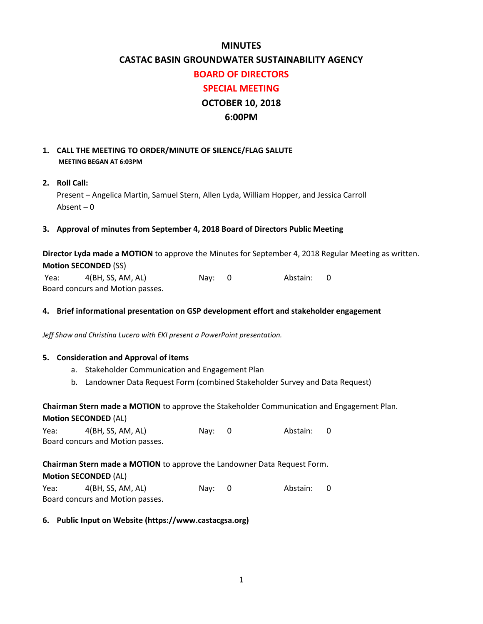# **MINUTES**

# **CASTAC BASIN GROUNDWATER SUSTAINABILITY AGENCY**

#### **BOARD OF DIRECTORS**

# **SPECIAL MEETING**

# **OCTOBER 10, 2018**

## **6:00PM**

## **1. CALL THE MEETING TO ORDER/MINUTE OF SILENCE/FLAG SALUTE MEETING BEGAN AT 6:03PM**

## **2. Roll Call:**

Present – Angelica Martin, Samuel Stern, Allen Lyda, William Hopper, and Jessica Carroll Absent – 0

## **3. Approval of minutes from September 4, 2018 Board of Directors Public Meeting**

**Director Lyda made a MOTION** to approve the Minutes for September 4, 2018 Regular Meeting as written. **Motion SECONDED** (SS)

Yea: 4(BH, SS, AM, AL) Nay: 0 Abstain: 0 Board concurs and Motion passes.

#### **4. Brief informational presentation on GSP development effort and stakeholder engagement**

*Jeff Shaw and Christina Lucero with EKI present a PowerPoint presentation.*

#### **5. Consideration and Approval of items**

- a. Stakeholder Communication and Engagement Plan
- b. Landowner Data Request Form (combined Stakeholder Survey and Data Request)

# **Chairman Stern made a MOTION** to approve the Stakeholder Communication and Engagement Plan. **Motion SECONDED** (AL)

| Yea:                             | 4(BH, SS, AM, AL) | Nay: 0 | Abstain: 0 |  |
|----------------------------------|-------------------|--------|------------|--|
| Board concurs and Motion passes. |                   |        |            |  |

#### **Chairman Stern made a MOTION** to approve the Landowner Data Request Form.

## **Motion SECONDED** (AL)

| Yea:                             | 4(BH, SS, AM, AL) | Nay: 0 | Abstain: |  |
|----------------------------------|-------------------|--------|----------|--|
| Board concurs and Motion passes. |                   |        |          |  |

## **6. Public Input on Website (https://www.castacgsa.org)**